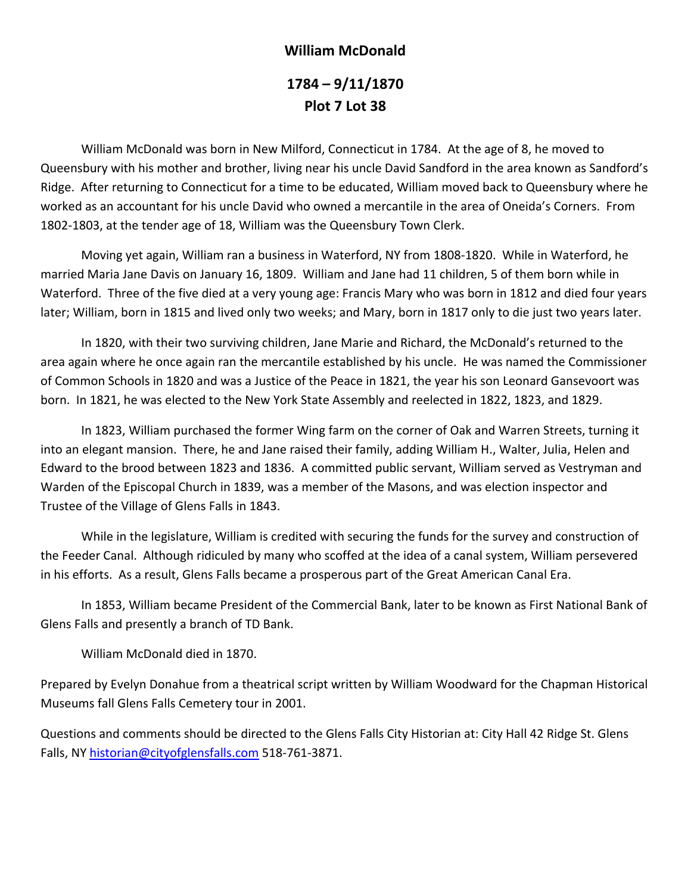## **William McDonald 1784 – 9/11/1870 Plot 7 Lot 38**

 William McDonald was born in New Milford, Connecticut in 1784. At the age of 8, he moved to Queensbury with his mother and brother, living near his uncle David Sandford in the area known as Sandford's Ridge. After returning to Connecticut for a time to be educated, William moved back to Queensbury where he worked as an accountant for his uncle David who owned a mercantile in the area of Oneida's Corners. From 1802‐1803, at the tender age of 18, William was the Queensbury Town Clerk.

 Moving yet again, William ran a business in Waterford, NY from 1808‐1820. While in Waterford, he married Maria Jane Davis on January 16, 1809. William and Jane had 11 children, 5 of them born while in Waterford. Three of the five died at a very young age: Francis Mary who was born in 1812 and died four years later; William, born in 1815 and lived only two weeks; and Mary, born in 1817 only to die just two years later.

 In 1820, with their two surviving children, Jane Marie and Richard, the McDonald's returned to the area again where he once again ran the mercantile established by his uncle. He was named the Commissioner of Common Schools in 1820 and was a Justice of the Peace in 1821, the year his son Leonard Gansevoort was born. In 1821, he was elected to the New York State Assembly and reelected in 1822, 1823, and 1829.

 In 1823, William purchased the former Wing farm on the corner of Oak and Warren Streets, turning it into an elegant mansion. There, he and Jane raised their family, adding William H., Walter, Julia, Helen and Edward to the brood between 1823 and 1836. A committed public servant, William served as Vestryman and Warden of the Episcopal Church in 1839, was a member of the Masons, and was election inspector and Trustee of the Village of Glens Falls in 1843.

 While in the legislature, William is credited with securing the funds for the survey and construction of the Feeder Canal. Although ridiculed by many who scoffed at the idea of a canal system, William persevered in his efforts. As a result, Glens Falls became a prosperous part of the Great American Canal Era.

 In 1853, William became President of the Commercial Bank, later to be known as First National Bank of Glens Falls and presently a branch of TD Bank.

William McDonald died in 1870.

Prepared by Evelyn Donahue from a theatrical script written by William Woodward for the Chapman Historical Museums fall Glens Falls Cemetery tour in 2001.

Questions and comments should be directed to the Glens Falls City Historian at: City Hall 42 Ridge St. Glens Falls, NY historian@cityofglensfalls.com 518‐761‐3871.